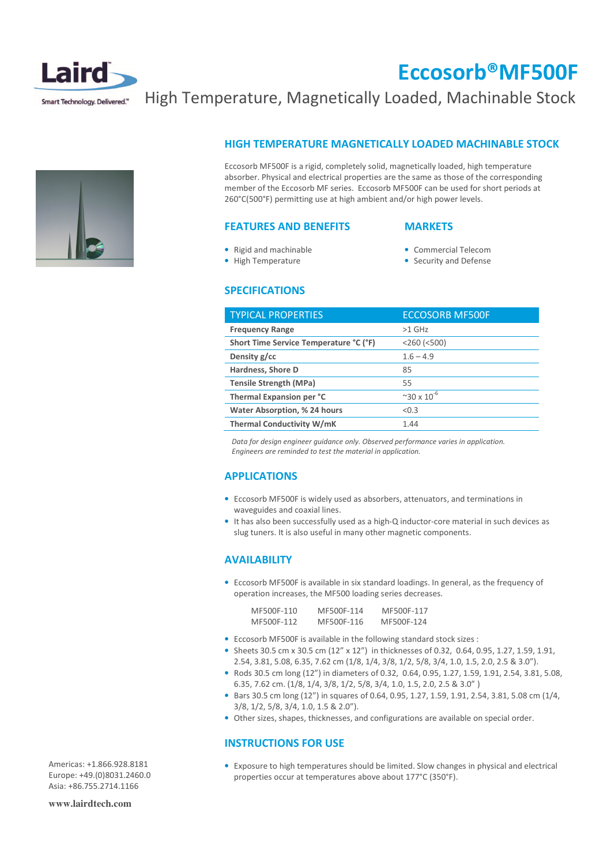

## Eccosorb®MF500F

## High Temperature, Magnetically Loaded, Machinable Stock

## HIGH TEMPERATURE MAGNETICALLY LOADED MACHINABLE STOCK

Eccosorb MF500F is a rigid, completely solid, magnetically loaded, high temperature absorber. Physical and electrical properties are the same as those of the corresponding member of the Eccosorb MF series. Eccosorb MF500F can be used for short periods at 260°C(500°F) permitting use at high ambient and/or high power levels.

#### FEATURES AND BENEFITS

#### **MARKETS**

• Rigid and machinable • High Temperature

- Commercial Telecom
- Security and Defense

#### SPECIFICATIONS

| <b>TYPICAL PROPERTIES</b>              | <b>ECCOSORB MF500F</b>           |
|----------------------------------------|----------------------------------|
| <b>Frequency Range</b>                 | $>1$ GHz                         |
| Short Time Service Temperature °C (°F) | $<$ 260 $(<$ 500)                |
| Density g/cc                           | $1.6 - 4.9$                      |
| Hardness, Shore D                      | 85                               |
| <b>Tensile Strength (MPa)</b>          | 55                               |
| Thermal Expansion per °C               | $^{\circ}$ 30 x 10 <sup>-6</sup> |
| Water Absorption, % 24 hours           | < 0.3                            |
| <b>Thermal Conductivity W/mK</b>       | 1.44                             |

 Data for design engineer guidance only. Observed performance varies in application. Engineers are reminded to test the material in application.

## APPLICATIONS

- Eccosorb MF500F is widely used as absorbers, attenuators, and terminations in waveguides and coaxial lines.
- It has also been successfully used as a high-Q inductor-core material in such devices as slug tuners. It is also useful in many other magnetic components.

## AVAILABILITY

• Eccosorb MF500F is available in six standard loadings. In general, as the frequency of operation increases, the MF500 loading series decreases.

| MF500F-110 | MF500F-114 | MF500F-117 |
|------------|------------|------------|
| MF500F-112 | MF500F-116 | MF500F-124 |

- Eccosorb MF500F is available in the following standard stock sizes :
- Sheets 30.5 cm x 30.5 cm (12" x 12") in thicknesses of 0.32, 0.64, 0.95, 1.27, 1.59, 1.91, 2.54, 3.81, 5.08, 6.35, 7.62 cm (1/8, 1/4, 3/8, 1/2, 5/8, 3/4, 1.0, 1.5, 2.0, 2.5 & 3.0").
- Rods 30.5 cm long (12") in diameters of 0.32, 0.64, 0.95, 1.27, 1.59, 1.91, 2.54, 3.81, 5.08, 6.35, 7.62 cm. (1/8, 1/4, 3/8, 1/2, 5/8, 3/4, 1.0, 1.5, 2.0, 2.5 & 3.0" )
- Bars 30.5 cm long (12") in squares of 0.64, 0.95, 1.27, 1.59, 1.91, 2.54, 3.81, 5.08 cm (1/4, 3/8, 1/2, 5/8, 3/4, 1.0, 1.5 & 2.0").
- Other sizes, shapes, thicknesses, and configurations are available on special order.

## INSTRUCTIONS FOR USE

• Exposure to high temperatures should be limited. Slow changes in physical and electrical properties occur at temperatures above about 177°C (350°F).

Americas: +1.866.928.8181 Europe: +49.(0)8031.2460.0 Asia: +86.755.2714.1166

**www.lairdtech.com**